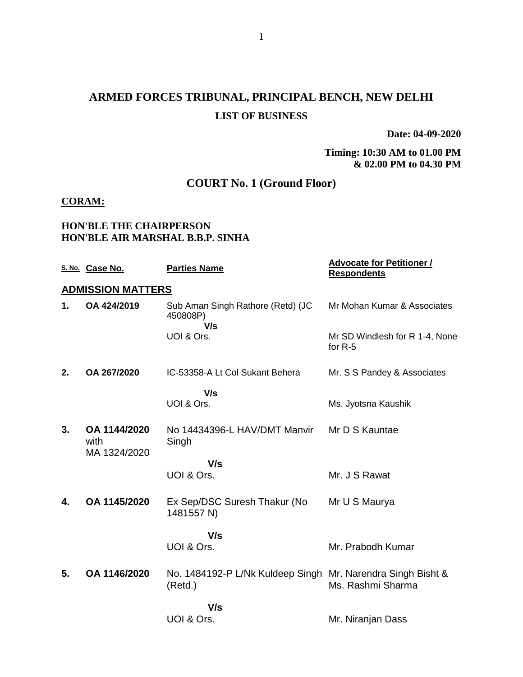# **ARMED FORCES TRIBUNAL, PRINCIPAL BENCH, NEW DELHI LIST OF BUSINESS**

**Date: 04-09-2020**

**Timing: 10:30 AM to 01.00 PM & 02.00 PM to 04.30 PM**

## **COURT No. 1 (Ground Floor)**

#### **CORAM:**

#### **HON'BLE THE CHAIRPERSON HON'BLE AIR MARSHAL B.B.P. SINHA**

|    | S. No. Case No.          | <b>Parties Name</b>                                                    | <b>Advocate for Petitioner /</b><br><b>Respondents</b> |
|----|--------------------------|------------------------------------------------------------------------|--------------------------------------------------------|
|    | <b>ADMISSION MATTERS</b> |                                                                        |                                                        |
| 1. | OA 424/2019              | Sub Aman Singh Rathore (Retd) (JC<br>450808P)<br>V/s                   | Mr Mohan Kumar & Associates                            |
|    |                          | UOI & Ors.                                                             | Mr SD Windlesh for R 1-4, None<br>for $R-5$            |
| 2. | OA 267/2020              | IC-53358-A Lt Col Sukant Behera                                        | Mr. S S Pandey & Associates                            |
|    |                          | V/s<br>UOI & Ors.                                                      | Ms. Jyotsna Kaushik                                    |
|    |                          |                                                                        |                                                        |
| 3. | OA 1144/2020<br>with     | No 14434396-L HAV/DMT Manvir<br>Singh                                  | Mr D S Kauntae                                         |
|    | MA 1324/2020             | V/s                                                                    |                                                        |
|    |                          | UOI & Ors.                                                             | Mr. J S Rawat                                          |
| 4. | OA 1145/2020             | Ex Sep/DSC Suresh Thakur (No<br>1481557 N)                             | Mr U S Maurya                                          |
|    |                          | V/s                                                                    |                                                        |
|    |                          | UOI & Ors.                                                             | Mr. Prabodh Kumar                                      |
| 5. | OA 1146/2020             | No. 1484192-P L/Nk Kuldeep Singh Mr. Narendra Singh Bisht &<br>(Retd.) | Ms. Rashmi Sharma                                      |
|    |                          | V/s                                                                    |                                                        |
|    |                          | UOI & Ors.                                                             | Mr. Niranjan Dass                                      |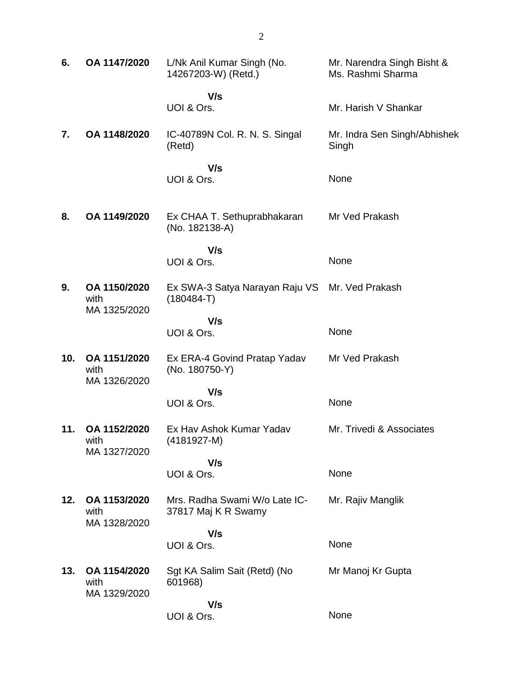| 6.  | OA 1147/2020                         | L/Nk Anil Kumar Singh (No.<br>14267203-W) (Retd.)    | Mr. Narendra Singh Bisht &<br>Ms. Rashmi Sharma |
|-----|--------------------------------------|------------------------------------------------------|-------------------------------------------------|
|     |                                      | V/s<br>UOI & Ors.                                    | Mr. Harish V Shankar                            |
| 7.  | OA 1148/2020                         | IC-40789N Col. R. N. S. Singal<br>(Retd)             | Mr. Indra Sen Singh/Abhishek<br>Singh           |
|     |                                      | V/s<br>UOI & Ors.                                    | None                                            |
| 8.  | OA 1149/2020                         | Ex CHAA T. Sethuprabhakaran<br>(No. 182138-A)        | Mr Ved Prakash                                  |
|     |                                      | V/s<br>UOI & Ors.                                    | None                                            |
| 9.  | OA 1150/2020<br>with<br>MA 1325/2020 | Ex SWA-3 Satya Narayan Raju VS<br>$(180484-T)$       | Mr. Ved Prakash                                 |
|     |                                      | V/s<br>UOI & Ors.                                    | None                                            |
| 10. | OA 1151/2020<br>with<br>MA 1326/2020 | Ex ERA-4 Govind Pratap Yadav<br>(No. 180750-Y)       | Mr Ved Prakash                                  |
|     |                                      | V/s<br>UOI & Ors.                                    | None                                            |
| 11. | OA 1152/2020<br>with<br>MA 1327/2020 | Ex Hav Ashok Kumar Yadav<br>$(4181927-M)$            | Mr. Trivedi & Associates                        |
|     |                                      | V/s<br>UOI & Ors.                                    | None                                            |
| 12. | OA 1153/2020<br>with<br>MA 1328/2020 | Mrs. Radha Swami W/o Late IC-<br>37817 Maj K R Swamy | Mr. Rajiv Manglik                               |
|     |                                      | V/s<br>UOI & Ors.                                    | None                                            |
| 13. | OA 1154/2020<br>with<br>MA 1329/2020 | Sgt KA Salim Sait (Retd) (No<br>601968)              | Mr Manoj Kr Gupta                               |
|     |                                      | V/s<br>UOI & Ors.                                    | None                                            |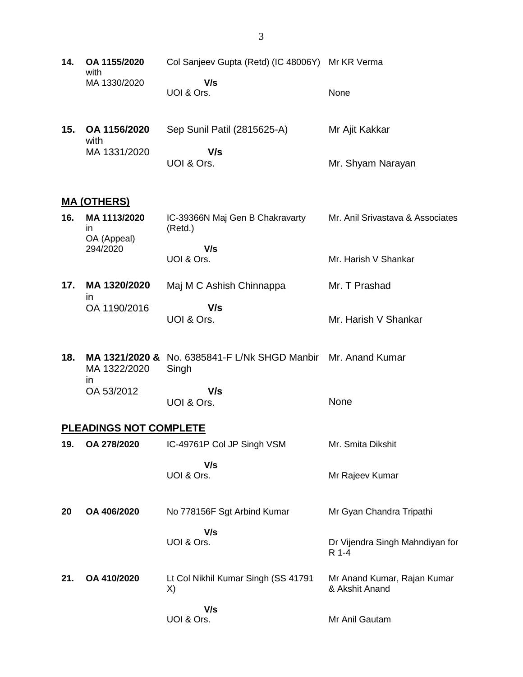- **14. OA 1155/2020** with MA 1330/2020 Col Sanjeev Gupta (Retd) (IC 48006Y) Mr KR Verma  **V/s** UOI & Ors. None
- **15. OA 1156/2020** with MA 1331/2020 Sep Sunil Patil (2815625-A)  **V/s** UOI & Ors. Mr Ajit Kakkar Mr. Shyam Narayan

#### **MA (OTHERS)**

| 16. | MA 1113/2020<br>ın      | IC-39366N Maj Gen B Chakravarty<br>(Retd.) | Mr. Anil Srivastava & Associates |
|-----|-------------------------|--------------------------------------------|----------------------------------|
|     | OA (Appeal)<br>294/2020 | V/s                                        |                                  |
|     |                         | UOI & Ors.                                 | Mr. Harish V Shankar             |

**17. MA 1320/2020** in OA 1190/2016 Maj M C Ashish Chinnappa  **V/s** UOI & Ors. Mr. T Prashad Mr. Harish V Shankar

**18. MA 1321/2020 &** No. 6385841-F L/Nk SHGD Manbir Mr. Anand Kumar MA 1322/2020 in OA 53/2012 Singh  **V/s**

UOI & Ors.

#### **PLEADINGS NOT COMPLETE**

| 19. | OA 278/2020 | IC-49761P Col JP Singh VSM                 | Mr. Smita Dikshit                             |
|-----|-------------|--------------------------------------------|-----------------------------------------------|
|     |             | V/s<br>UOI & Ors.                          | Mr Rajeev Kumar                               |
| 20  | OA 406/2020 | No 778156F Sgt Arbind Kumar                | Mr Gyan Chandra Tripathi                      |
|     |             | V/s<br>UOI & Ors.                          | Dr Vijendra Singh Mahndiyan for<br>R 1-4      |
| 21. | OA 410/2020 | Lt Col Nikhil Kumar Singh (SS 41791)<br>X) | Mr Anand Kumar, Rajan Kumar<br>& Akshit Anand |
|     |             | V/s<br>UOI & Ors.                          | Mr Anil Gautam                                |

None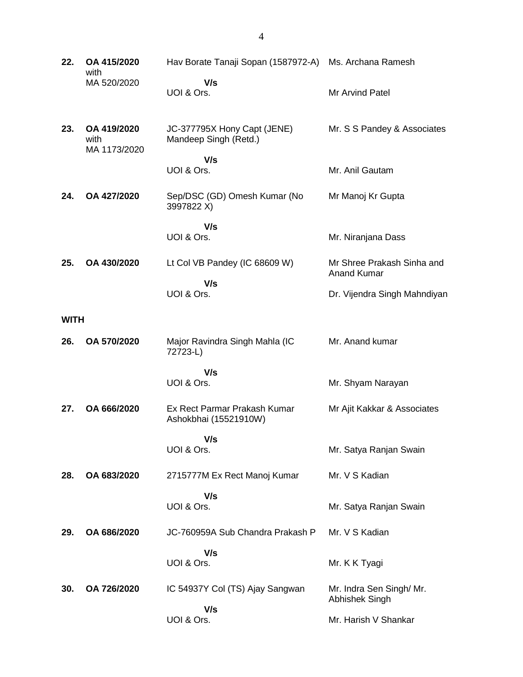**22. OA 415/2020** with MA 520/2020 Hav Borate Tanaji Sopan (1587972-A) Ms. Archana Ramesh  **V/s** UOI & Ors. Mr Arvind Patel **23. OA 419/2020** with MA 1173/2020 JC-377795X Hony Capt (JENE) Mandeep Singh (Retd.)  **V/s** UOI & Ors. Mr. S S Pandey & Associates Mr. Anil Gautam **24. OA 427/2020** Sep/DSC (GD) Omesh Kumar (No 3997822 X)  **V/s** UOI & Ors. Mr Manoj Kr Gupta Mr. Niranjana Dass **25. OA 430/2020** Lt Col VB Pandey (IC 68609 W)  **V/s** UOI & Ors. Mr Shree Prakash Sinha and Anand Kumar Dr. Vijendra Singh Mahndiyan **WITH 26. OA 570/2020** Major Ravindra Singh Mahla (IC 72723-L)  **V/s** UOI & Ors. Mr. Anand kumar Mr. Shyam Narayan **27. OA 666/2020** Ex Rect Parmar Prakash Kumar Ashokbhai (15521910W)  **V/s** UOI & Ors. Mr Ajit Kakkar & Associates Mr. Satya Ranjan Swain **28. OA 683/2020** 2715777M Ex Rect Manoj Kumar  **V/s** UOI & Ors. Mr. V S Kadian Mr. Satya Ranjan Swain **29. OA 686/2020** JC-760959A Sub Chandra Prakash P  **V/s** UOI & Ors. Mr. V S Kadian Mr. K K Tyagi **30. OA 726/2020** IC 54937Y Col (TS) Ajay Sangwan  **V/s** UOI & Ors. Mr. Indra Sen Singh/ Mr. Abhishek Singh Mr. Harish V Shankar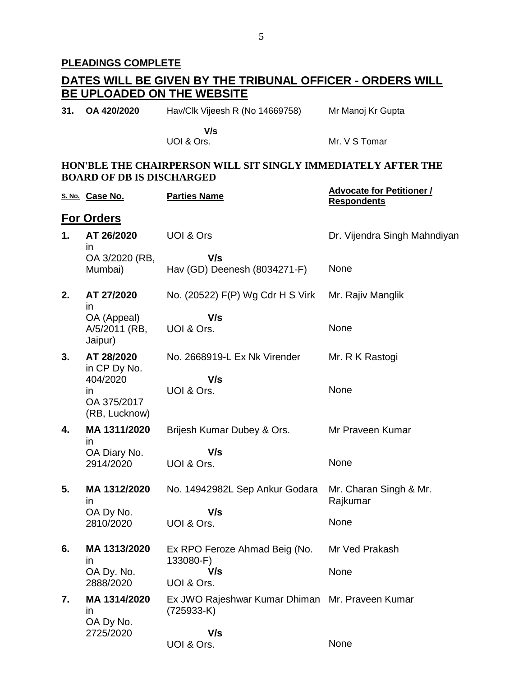## **PLEADINGS COMPLETE**

# **DATES WILL BE GIVEN BY THE TRIBUNAL OFFICER - ORDERS WILL BE UPLOADED ON THE WEBSITE**

| 31. OA 420/2020 | Hav/Clk Vijeesh R (No 14669758) | Mr Manoj Kr Gupta |
|-----------------|---------------------------------|-------------------|
|                 | V/s                             |                   |

UOI & Ors.

Mr. V S Tomar

#### **HON'BLE THE CHAIRPERSON WILL SIT SINGLY IMMEDIATELY AFTER THE BOARD OF DB IS DISCHARGED**

|    | S. No. Case No.                                | <b>Parties Name</b>                                             | <b>Advocate for Petitioner /</b><br><b>Respondents</b> |
|----|------------------------------------------------|-----------------------------------------------------------------|--------------------------------------------------------|
|    | <b>For Orders</b>                              |                                                                 |                                                        |
| 1. | AT 26/2020<br>$\mathsf{I}$                     | <b>UOI &amp; Ors</b>                                            | Dr. Vijendra Singh Mahndiyan                           |
|    | OA 3/2020 (RB,<br>Mumbai)                      | V/s<br>Hav (GD) Deenesh (8034271-F)                             | None                                                   |
| 2. | AT 27/2020<br>in                               | No. (20522) F(P) Wg Cdr H S Virk                                | Mr. Rajiv Manglik                                      |
|    | OA (Appeal)<br>A/5/2011 (RB,<br>Jaipur)        | V/s<br>UOI & Ors.                                               | None                                                   |
| 3. | AT 28/2020<br>in CP Dy No.                     | No. 2668919-L Ex Nk Virender                                    | Mr. R K Rastogi                                        |
|    | 404/2020<br>in<br>OA 375/2017<br>(RB, Lucknow) | V/s<br>UOI & Ors.                                               | None                                                   |
| 4. | MA 1311/2020<br>in                             | Brijesh Kumar Dubey & Ors.                                      | Mr Praveen Kumar                                       |
|    | OA Diary No.<br>2914/2020                      | V/s<br>UOI & Ors.                                               | None                                                   |
| 5. | MA 1312/2020<br>$\mathsf{I}$                   | No. 14942982L Sep Ankur Godara                                  | Mr. Charan Singh & Mr.<br>Rajkumar                     |
|    | OA Dy No.<br>2810/2020                         | V/s<br>UOI & Ors.                                               | None                                                   |
| 6. | MA 1313/2020<br>$\mathsf{I}$                   | Ex RPO Feroze Ahmad Beig (No.<br>133080-F)                      | Mr Ved Prakash                                         |
|    | OA Dy. No.<br>2888/2020                        | V/s<br>UOI & Ors.                                               | None                                                   |
| 7. | MA 1314/2020<br>$\mathsf{I}$<br>OA Dy No.      | Ex JWO Rajeshwar Kumar Dhiman Mr. Praveen Kumar<br>$(725933-K)$ |                                                        |
|    | 2725/2020                                      | V/s<br>UOI & Ors.                                               | None                                                   |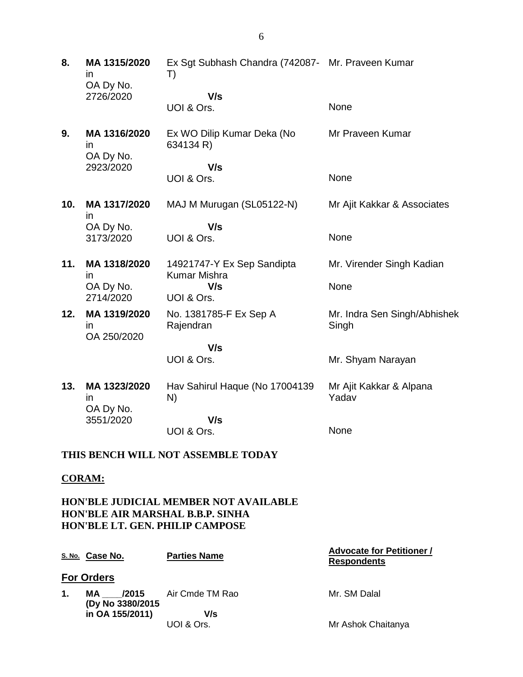**8. MA 1315/2020** in OA Dy No. 2726/2020 Ex Sgt Subhash Chandra (742087- Mr. Praveen Kumar T)  **V/s** None

UOI & Ors.

UOI & Ors.

- **9. MA 1316/2020** in OA Dy No. 2923/2020 Ex WO Dilip Kumar Deka (No 634134 R)  **V/s** Mr Praveen Kumar None
- **10. MA 1317/2020** in OA Dy No. 3173/2020 MAJ M Murugan (SL05122-N)  **V/s** UOI & Ors. Mr Ajit Kakkar & Associates None
- **11. MA 1318/2020** in OA Dy No. 2714/2020 14921747-Y Ex Sep Sandipta Kumar Mishra  **V/s** UOI & Ors. Mr. Virender Singh Kadian None No. 1381785-F Ex Sep A Mr. Indra Sen Singh/Abhishek

Singh

Mr. Shyam Narayan

**12. MA 1319/2020** in OA 250/2020

> **V/s** UOI & Ors.

Rajendran

**13. MA 1323/2020** in OA Dy No. 3551/2020 Hav Sahirul Haque (No 17004139 N)  **V/s** UOI & Ors. Mr Ajit Kakkar & Alpana Yadav None

#### **THIS BENCH WILL NOT ASSEMBLE TODAY**

#### **CORAM:**

**HON'BLE JUDICIAL MEMBER NOT AVAILABLE HON'BLE AIR MARSHAL B.B.P. SINHA HON'BLE LT. GEN. PHILIP CAMPOSE**

|    | S. No. Case No.         | <b>Parties Name</b>          | <b>Advocate for Petitioner /</b><br><b>Respondents</b> |
|----|-------------------------|------------------------------|--------------------------------------------------------|
|    | <b>For Orders</b>       |                              |                                                        |
| 1. | MA<br>(Dy No 3380/2015) | <b>/2015</b> Air Cmde TM Rao | Mr. SM Dalal                                           |
|    | in OA 155/2011)         | V/s<br>UOI & Ors.            | Mr Ashok Chaitanya                                     |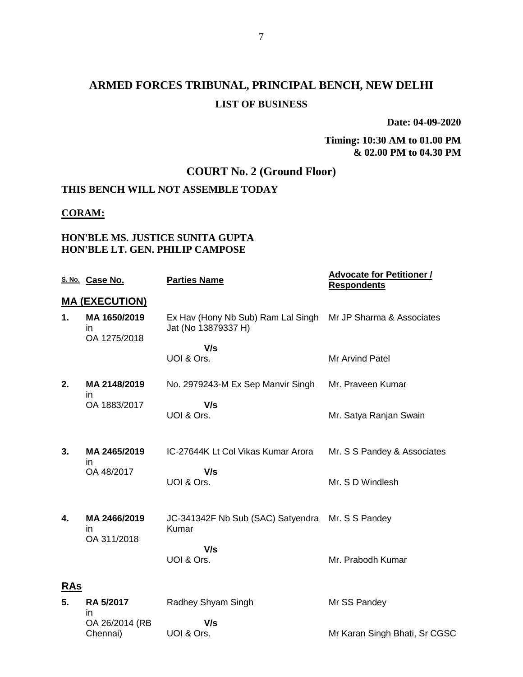# **ARMED FORCES TRIBUNAL, PRINCIPAL BENCH, NEW DELHI LIST OF BUSINESS**

**Date: 04-09-2020**

#### **Timing: 10:30 AM to 01.00 PM & 02.00 PM to 04.30 PM**

# **COURT No. 2 (Ground Floor)**

## **THIS BENCH WILL NOT ASSEMBLE TODAY**

#### **CORAM:**

### **HON'BLE MS. JUSTICE SUNITA GUPTA HON'BLE LT. GEN. PHILIP CAMPOSE**

|            | S. No. Case No.                    | <b>Parties Name</b>                                                                 | <b>Advocate for Petitioner /</b><br><b>Respondents</b> |
|------------|------------------------------------|-------------------------------------------------------------------------------------|--------------------------------------------------------|
|            | <b>MA (EXECUTION)</b>              |                                                                                     |                                                        |
| 1.         | MA 1650/2019<br>in<br>OA 1275/2018 | Ex Hav (Hony Nb Sub) Ram Lal Singh Mr JP Sharma & Associates<br>Jat (No 13879337 H) |                                                        |
|            |                                    | V/s                                                                                 |                                                        |
|            |                                    | UOI & Ors.                                                                          | Mr Arvind Patel                                        |
| 2.         | MA 2148/2019<br>in.                | No. 2979243-M Ex Sep Manvir Singh                                                   | Mr. Praveen Kumar                                      |
|            | OA 1883/2017                       | V/s<br>UOI & Ors.                                                                   | Mr. Satya Ranjan Swain                                 |
| 3.         | MA 2465/2019<br>in                 | IC-27644K Lt Col Vikas Kumar Arora                                                  | Mr. S S Pandey & Associates                            |
|            | OA 48/2017                         | V/s<br>UOI & Ors.                                                                   | Mr. S D Windlesh                                       |
| 4.         | MA 2466/2019<br>in                 | JC-341342F Nb Sub (SAC) Satyendra Mr. S S Pandey<br>Kumar                           |                                                        |
|            | OA 311/2018                        | V/s<br>UOI & Ors.                                                                   | Mr. Prabodh Kumar                                      |
| <b>RAs</b> |                                    |                                                                                     |                                                        |
| 5.         | <b>RA 5/2017</b><br>in             | Radhey Shyam Singh                                                                  | Mr SS Pandey                                           |
|            | OA 26/2014 (RB                     | V/s                                                                                 |                                                        |
|            | Chennai)                           | UOI & Ors.                                                                          | Mr Karan Singh Bhati, Sr CGSC                          |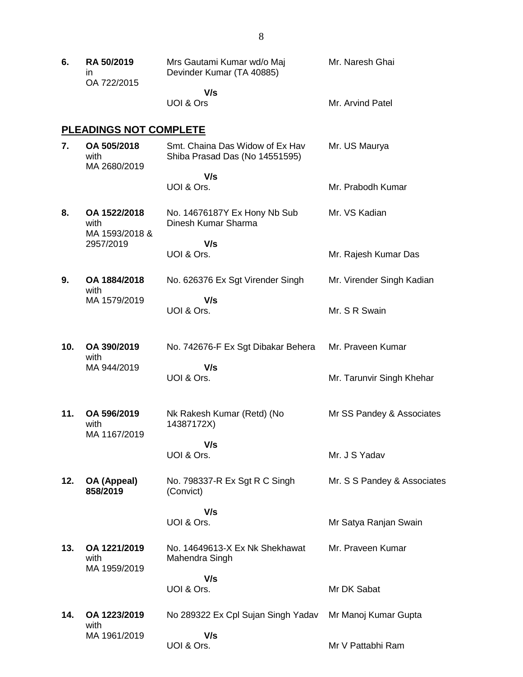| 6.  | RA 50/2019<br>ın<br>OA 722/2015        | Mrs Gautami Kumar wd/o Maj<br>Devinder Kumar (TA 40885)           | Mr. Naresh Ghai             |
|-----|----------------------------------------|-------------------------------------------------------------------|-----------------------------|
|     |                                        | V/s<br>UOI & Ors                                                  | Mr. Arvind Patel            |
|     | <b>PLEADINGS NOT COMPLETE</b>          |                                                                   |                             |
| 7.  | OA 505/2018<br>with<br>MA 2680/2019    | Smt. Chaina Das Widow of Ex Hav<br>Shiba Prasad Das (No 14551595) | Mr. US Maurya               |
|     |                                        | V/s<br>UOI & Ors.                                                 | Mr. Prabodh Kumar           |
| 8.  | OA 1522/2018<br>with<br>MA 1593/2018 & | No. 14676187Y Ex Hony Nb Sub<br>Dinesh Kumar Sharma               | Mr. VS Kadian               |
|     | 2957/2019                              | V/s<br>UOI & Ors.                                                 | Mr. Rajesh Kumar Das        |
| 9.  | OA 1884/2018                           | No. 626376 Ex Sgt Virender Singh                                  | Mr. Virender Singh Kadian   |
|     | with<br>MA 1579/2019                   | V/s<br>UOI & Ors.                                                 | Mr. S R Swain               |
| 10. | OA 390/2019<br>with                    | No. 742676-F Ex Sgt Dibakar Behera                                | Mr. Praveen Kumar           |
|     | MA 944/2019                            | V/s<br>UOI & Ors.                                                 | Mr. Tarunvir Singh Khehar   |
| 11. | OA 596/2019<br>with<br>MA 1167/2019    | Nk Rakesh Kumar (Retd) (No<br>14387172X)                          | Mr SS Pandey & Associates   |
|     |                                        | V/s<br>UOI & Ors.                                                 | Mr. J S Yadav               |
| 12. | OA (Appeal)<br>858/2019                | No. 798337-R Ex Sgt R C Singh<br>(Convict)                        | Mr. S S Pandey & Associates |
|     |                                        | V/s<br>UOI & Ors.                                                 | Mr Satya Ranjan Swain       |
| 13. | OA 1221/2019<br>with                   | No. 14649613-X Ex Nk Shekhawat<br>Mahendra Singh                  | Mr. Praveen Kumar           |
|     | MA 1959/2019                           | V/s<br>UOI & Ors.                                                 | Mr DK Sabat                 |
| 14. | OA 1223/2019                           | No 289322 Ex Cpl Sujan Singh Yadav                                | Mr Manoj Kumar Gupta        |
|     | with<br>MA 1961/2019                   | V/s<br>UOI & Ors.                                                 | Mr V Pattabhi Ram           |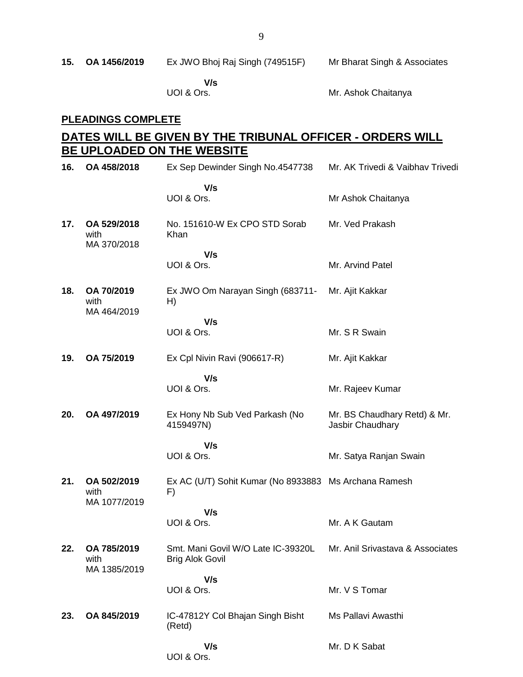|  | 15. OA 1456/2019 | Ex JWO Bhoj Raj Singh (749515F) | Mr Bharat Singh & Associates |
|--|------------------|---------------------------------|------------------------------|
|--|------------------|---------------------------------|------------------------------|

 **V/s** UOI & Ors.

Mr. Ashok Chaitanya

## **PLEADINGS COMPLETE**

## **DATES WILL BE GIVEN BY THE TRIBUNAL OFFICER - ORDERS WILL BE UPLOADED ON THE WEBSITE**

| 16. | OA 458/2018                         | Ex Sep Dewinder Singh No.4547738                             | Mr. AK Trivedi & Vaibhav Trivedi                 |
|-----|-------------------------------------|--------------------------------------------------------------|--------------------------------------------------|
|     |                                     | V/s<br>UOI & Ors.                                            | Mr Ashok Chaitanya                               |
| 17. | OA 529/2018<br>with<br>MA 370/2018  | No. 151610-W Ex CPO STD Sorab<br>Khan                        | Mr. Ved Prakash                                  |
|     |                                     | V/s<br>UOI & Ors.                                            | Mr. Arvind Patel                                 |
| 18. | OA 70/2019<br>with<br>MA 464/2019   | Ex JWO Om Narayan Singh (683711-<br>H)                       | Mr. Ajit Kakkar                                  |
|     |                                     | V/s<br>UOI & Ors.                                            | Mr. S R Swain                                    |
| 19. | OA 75/2019                          | Ex Cpl Nivin Ravi (906617-R)                                 | Mr. Ajit Kakkar                                  |
|     |                                     | V/s<br>UOI & Ors.                                            | Mr. Rajeev Kumar                                 |
| 20. | OA 497/2019                         | Ex Hony Nb Sub Ved Parkash (No<br>4159497N)                  | Mr. BS Chaudhary Retd) & Mr.<br>Jasbir Chaudhary |
|     |                                     | V/s<br>UOI & Ors.                                            | Mr. Satya Ranjan Swain                           |
| 21. | OA 502/2019<br>with<br>MA 1077/2019 | Ex AC (U/T) Sohit Kumar (No 8933883 Ms Archana Ramesh<br>F)  |                                                  |
|     |                                     | V/s<br>UOI & Ors.                                            | Mr. A K Gautam                                   |
| 22. | OA 785/2019<br>with<br>MA 1385/2019 | Smt. Mani Govil W/O Late IC-39320L<br><b>Brig Alok Govil</b> | Mr. Anil Srivastava & Associates                 |
|     |                                     | V/s<br>UOI & Ors.                                            | Mr. V S Tomar                                    |
| 23. | OA 845/2019                         | IC-47812Y Col Bhajan Singh Bisht<br>(Retd)                   | Ms Pallavi Awasthi                               |
|     |                                     | V/s<br>UOI & Ors.                                            | Mr. D K Sabat                                    |